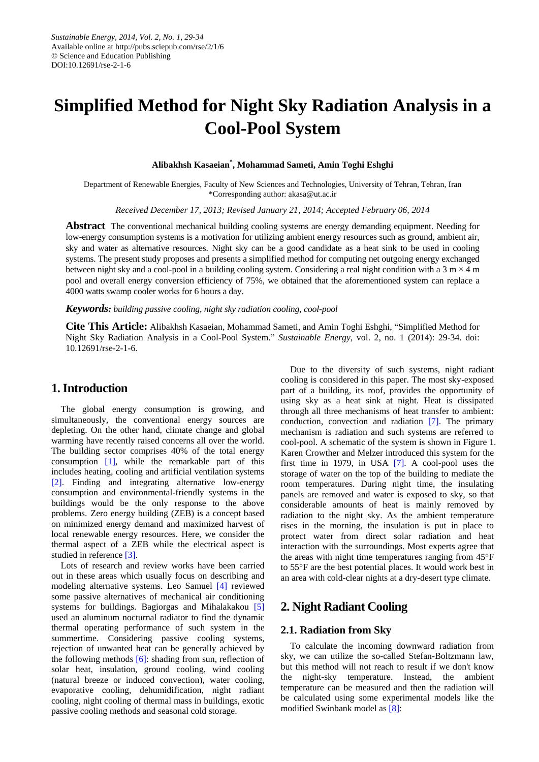# **Simplified Method for Night Sky Radiation Analysis in a Cool-Pool System**

#### **Alibakhsh Kasaeian\* , Mohammad Sameti, Amin Toghi Eshghi**

Department of Renewable Energies, Faculty of New Sciences and Technologies, University of Tehran, Tehran, Iran \*Corresponding author: akasa@ut.ac.ir

*Received December 17, 2013; Revised January 21, 2014; Accepted February 06, 2014*

**Abstract** The conventional mechanical building cooling systems are energy demanding equipment. Needing for low-energy consumption systems is a motivation for utilizing ambient energy resources such as ground, ambient air, sky and water as alternative resources. Night sky can be a good candidate as a heat sink to be used in cooling systems. The present study proposes and presents a simplified method for computing net outgoing energy exchanged between night sky and a cool-pool in a building cooling system. Considering a real night condition with a  $3 \text{ m} \times 4 \text{ m}$ pool and overall energy conversion efficiency of 75%, we obtained that the aforementioned system can replace a 4000 watts swamp cooler works for 6 hours a day.

*Keywords: building passive cooling, night sky radiation cooling, cool-pool*

**Cite This Article:** Alibakhsh Kasaeian, Mohammad Sameti, and Amin Toghi Eshghi, "Simplified Method for Night Sky Radiation Analysis in a Cool-Pool System." *Sustainable Energy*, vol. 2, no. 1 (2014): 29-34. doi: 10.12691/rse-2-1-6.

## **1. Introduction**

The global energy consumption is growing, and simultaneously, the conventional energy sources are depleting. On the other hand, climate change and global warming have recently raised concerns all over the world. The building sector comprises 40% of the total energy consumption  $[1]$ , while the remarkable part of this includes heating, cooling and artificial ventilation systems [\[2\].](#page-5-1) Finding and integrating alternative low-energy consumption and environmental-friendly systems in the buildings would be the only response to the above problems. Zero energy building (ZEB) is a concept based on minimized energy demand and maximized harvest of local renewable energy resources. Here, we consider the thermal aspect of a ZEB while the electrical aspect is studied in reference [\[3\].](#page-5-2)

Lots of research and review works have been carried out in these areas which usually focus on describing and modeling alternative systems. Leo Samuel [\[4\]](#page-5-3) reviewed some passive alternatives of mechanical air conditioning systems for buildings. Bagiorgas and Mihalakakou [\[5\]](#page-5-4) used an aluminum nocturnal radiator to find the dynamic thermal operating performance of such system in the summertime. Considering passive cooling systems, rejection of unwanted heat can be generally achieved by the following methods [\[6\]:](#page-5-5) shading from sun, reflection of solar heat, insulation, ground cooling, wind cooling (natural breeze or induced convection), water cooling, evaporative cooling, dehumidification, night radiant cooling, night cooling of thermal mass in buildings, exotic passive cooling methods and seasonal cold storage.

Due to the diversity of such systems, night radiant cooling is considered in this paper. The most sky-exposed part of a building, its roof, provides the opportunity of using sky as a heat sink at night. Heat is dissipated through all three mechanisms of heat transfer to ambient: conduction, convection and radiation [\[7\].](#page-5-6) The primary mechanism is radiation and such systems are referred to cool-pool. A schematic of the system is shown in Figure 1. Karen Crowther and Melzer introduced this system for the first time in 1979, in USA [\[7\].](#page-5-6) A cool-pool uses the storage of water on the top of the building to mediate the room temperatures. During night time, the insulating panels are removed and water is exposed to sky, so that considerable amounts of heat is mainly removed by radiation to the night sky. As the ambient temperature rises in the morning, the insulation is put in place to protect water from direct solar radiation and heat interaction with the surroundings. Most experts agree that the areas with night time temperatures ranging from 45°F to 55°F are the best potential places. It would work best in an area with cold-clear nights at a dry-desert type climate.

## **2. Night Radiant Cooling**

#### **2.1. Radiation from Sky**

To calculate the incoming downward radiation from sky, we can utilize the so-called Stefan-Boltzmann law, but this method will not reach to result if we don't know the night-sky temperature. Instead, the ambient temperature can be measured and then the radiation will be calculated using some experimental models like the modified Swinbank model a[s \[8\]:](#page-5-7)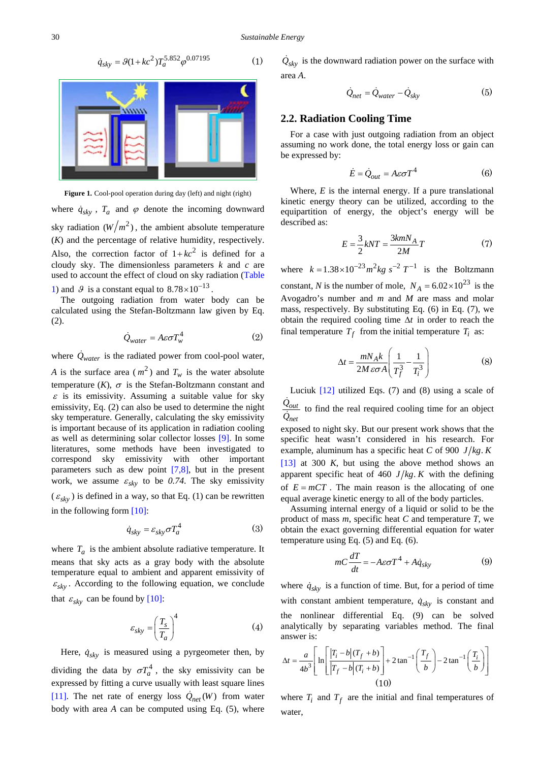$$
\dot{q}_{sky} = \mathcal{G}(1 + kc^2) T_a^{5.852} \varphi^{0.07195} \tag{1}
$$



Figure 1. Cool-pool operation during day (left) and night (right)

where  $\dot{q}_{sky}$ ,  $T_a$  and  $\varphi$  denote the incoming downward sky radiation  $(W/m^2)$ , the ambient absolute temperature (*K*) and the percentage of relative humidity, respectively. Also, the correction factor of  $1+kc^2$  is defined for a cloudy sky. The dimensionless parameters *k* and *c* are used to account the effect of cloud on sky radiation [\(Table](#page-2-0)  [1\)](#page-2-0) and  $\beta$  is a constant equal to  $8.78 \times 10^{-13}$ 

The outgoing radiation from water body can be calculated using the Stefan-Boltzmann law given by Eq. (2).

$$
\dot{Q}_{water} = A\epsilon\sigma T_w^4 \tag{2}
$$

where  $\dot{Q}_{water}$  is the radiated power from cool-pool water, *A* is the surface area  $(m^2)$  and  $T_w$  is the water absolute temperature  $(K)$ ,  $\sigma$  is the Stefan-Boltzmann constant and  $\varepsilon$  is its emissivity. Assuming a suitable value for sky emissivity, Eq. (2) can also be used to determine the night sky temperature. Generally, calculating the sky emissivity is important because of its application in radiation cooling as well as determining solar collector losses [\[9\].](#page-5-8) In some literatures, some methods have been investigated to correspond sky emissivity with other important parameters such as dew point [\[7,8\],](#page-5-6) but in the present work, we assume  $\varepsilon_{sky}$  to be 0.74. The sky emissivity  $(\varepsilon_{sky})$  is defined in a way, so that Eq. (1) can be rewritten in the following form [\[10\]:](#page-5-9)

$$
\dot{q}_{sky} = \varepsilon_{sky}\sigma T_a^4 \tag{3}
$$

where  $T_a$  is the ambient absolute radiative temperature. It means that sky acts as a gray body with the absolute temperature equal to ambient and apparent emissivity of  $\varepsilon_{sky}$ . According to the following equation, we conclude that  $\varepsilon_{sky}$  can be found by [\[10\]:](#page-5-9)

$$
\varepsilon_{sky} = \left(\frac{T_s}{T_a}\right)^4 \tag{4}
$$

Here,  $\dot{q}_{sky}$  is measured using a pyrgeometer then, by dividing the data by  $\sigma T_a^4$ , the sky emissivity can be expressed by fitting a curve usually with least square lines [\[11\].](#page-5-10) The net rate of energy loss  $\dot{Q}_{net}(W)$  from water body with area *A* can be computed using Eq. (5), where

 $Q_{sky}$  is the downward radiation power on the surface with area *A*.

$$
\dot{Q}_{net} = \dot{Q}_{water} - \dot{Q}_{sky}
$$
 (5)

#### **2.2. Radiation Cooling Time**

For a case with just outgoing radiation from an object assuming no work done, the total energy loss or gain can be expressed by:

$$
\dot{E} = \dot{Q}_{out} = A\varepsilon \sigma T^4 \tag{6}
$$

Where, *E* is the internal energy. If a pure translational kinetic energy theory can be utilized, according to the equipartition of energy, the object's energy will be described as:

$$
E = \frac{3}{2}kNT = \frac{3kmN_A}{2M}T\tag{7}
$$

where  $k = 1.38 \times 10^{-23} m^2 kg s^{-2} T^{-1}$  is the Boltzmann constant, *N* is the number of mole,  $N_A = 6.02 \times 10^{23}$  is the Avogadro's number and *m* and *M* are mass and molar mass, respectively. By substituting Eq. (6) in Eq. (7), we obtain the required cooling time ∆*t* in order to reach the final temperature  $T_f$  from the initial temperature  $T_i$  as:

$$
\Delta t = \frac{mN_A k}{2M \varepsilon \sigma A} \left( \frac{1}{T_f^3} - \frac{1}{T_i^3} \right)
$$
 (8)

Luciuk  $[12]$  utilized Eqs. (7) and (8) using a scale of  $Q_{out}$ *net Q* ż  $\frac{\partial \phi_{out}}{\partial n}$  to find the real required cooling time for an object exposed to night sky. But our present work shows that the specific heat wasn't considered in his research. For example, aluminum has a specific heat *C* of 900 *J kg K*.

[\[13\]](#page-5-12) at 300 *K*, but using the above method shows an apparent specific heat of 460  $J/kg$ . K with the defining of  $E = mCT$ . The main reason is the allocating of one equal average kinetic energy to all of the body particles.

Assuming internal energy of a liquid or solid to be the product of mass *m*, specific heat *C* and temperature *T*, we obtain the exact governing differential equation for water temperature using Eq. (5) and Eq. (6).

$$
mC\frac{dT}{dt} = -A\varepsilon\sigma T^4 + A\dot{q}_{sky}
$$
 (9)

where  $\dot{q}_{sky}$  is a function of time. But, for a period of time with constant ambient temperature,  $\dot{q}_{sky}$  is constant and the nonlinear differential Eq. (9) can be solved analytically by separating variables method. The final answer is:

$$
\Delta t = \frac{a}{4b^3} \left[ \ln \left[ \frac{|T_i - b|(T_f + b)}{|T_f - b|(T_i + b)} \right] + 2 \tan^{-1} \left( \frac{T_f}{b} \right) - 2 \tan^{-1} \left( \frac{T_i}{b} \right) \right]
$$
  
(10)

where  $T_i$  and  $T_f$  are the initial and final temperatures of water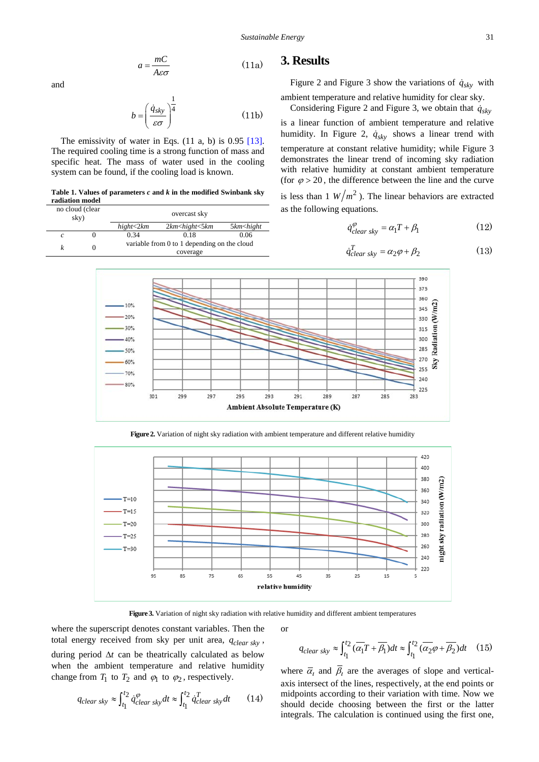$$
a = \frac{mC}{A\varepsilon\sigma} \tag{11a}
$$

and

$$
b = \left(\frac{\dot{q}_{sky}}{\varepsilon \sigma}\right)^{\frac{1}{4}}
$$
 (11b)

The emissivity of water in Eqs. (11 a, b) is 0.95 [\[13\].](#page-5-12) The required cooling time is a strong function of mass and specific heat. The mass of water used in the cooling system can be found, if the cooling load is known.

**Table 1. Values of parameters** *c* **and** *k* **in the modified Swinbank sky radiation model**

<span id="page-2-0"></span>

| no cloud (clear<br>sky) |   | overcast sky                                |                        |                             |  |  |
|-------------------------|---|---------------------------------------------|------------------------|-----------------------------|--|--|
|                         |   | hight<2km                                   | $2km$ < hight < 5 $km$ | 5km <hight< th=""></hight<> |  |  |
|                         |   | 0.34                                        | 0.18                   | 0.06                        |  |  |
|                         | 0 | variable from 0 to 1 depending on the cloud |                        |                             |  |  |
|                         |   |                                             | coverage               |                             |  |  |

#### **3. Results**

Figure 2 and Figure 3 show the variations of  $\dot{q}_{sky}$  with ambient temperature and relative humidity for clear sky.

Considering Figure 2 and Figure 3, we obtain that  $\dot{q}_{sky}$ 

is a linear function of ambient temperature and relative humidity. In Figure 2,  $\dot{q}_{sky}$  shows a linear trend with

temperature at constant relative humidity; while Figure 3 demonstrates the linear trend of incoming sky radiation with relative humidity at constant ambient temperature (for  $\varphi > 20$ , the difference between the line and the curve

is less than 1  $W/m^2$ ). The linear behaviors are extracted as the following equations.

$$
\dot{q}^{\varphi}_{clear\;sky} = \alpha_1 T + \beta_1 \tag{12}
$$

$$
\dot{q}_{clear\;sky}^T = \alpha_2 \varphi + \beta_2 \tag{13}
$$



**Figure 2.** Variation of night sky radiation with ambient temperature and different relative humidity



**Figure 3.** Variation of night sky radiation with relative humidity and different ambient temperatures

or

where the superscript denotes constant variables. Then the total energy received from sky per unit area,  $q_{clear\,sky}$ , during period ∆*t* can be theatrically calculated as below when the ambient temperature and relative humidity change from  $T_1$  to  $T_2$  and  $\varphi_1$  to  $\varphi_2$ , respectively.

$$
q_{clear\;sky} \approx \int_{t_1}^{t_2} \dot{q}^{\varphi}_{clear\;sky} dt \approx \int_{t_1}^{t_2} \dot{q}^T_{clear\;sky} dt \qquad (14)
$$

 $q_{clear\,sky} \approx \int_{t_1}^{t_2} (\overline{\alpha_1}T + \overline{\beta_1}) dt \approx \int_{t_1}^{t_2} (\overline{\alpha_2}\varphi + \overline{\beta_2}) dt$  (15)

where  $\overline{\alpha}_i$  and  $\overline{\beta}_i$  are the averages of slope and verticalaxis intersect of the lines, respectively, at the end points or midpoints according to their variation with time. Now we should decide choosing between the first or the latter integrals. The calculation is continued using the first one,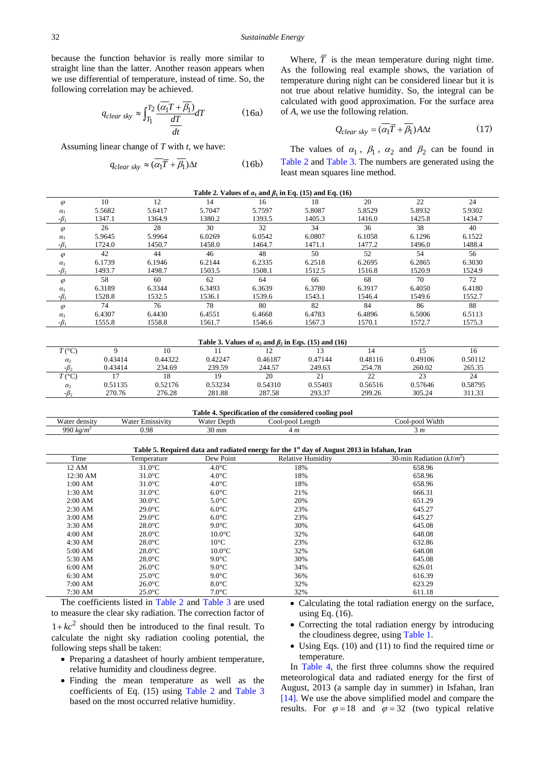because the function behavior is really more similar to straight line than the latter. Another reason appears when we use differential of temperature, instead of time. So, the following correlation may be achieved.

$$
q_{clear\;sky} \approx \int_{T_1}^{T_2} \frac{(\overline{\alpha_1}T + \overline{\beta_1})}{\frac{dT}{dt}} dT \tag{16a}
$$

Assuming linear change of *T* with *t*, we have:

$$
q_{clear\;sky} \approx (\overline{\alpha_1}\overline{T} + \overline{\beta_1})\Delta t \tag{16b}
$$

Where,  $\overline{T}$  is the mean temperature during night time. As the following real example shows, the variation of temperature during night can be considered linear but it is not true about relative humidity. So, the integral can be calculated with good approximation. For the surface area of *A*, we use the following relation.

$$
Q_{clear\;sky} = (\alpha_1 \overline{T} + \beta_1) A \Delta t \tag{17}
$$

The values of  $\alpha_1$ ,  $\beta_1$ ,  $\alpha_2$  and  $\beta_2$  can be found in [Table 2](#page-3-0) and [Table 3.](#page-3-1) The numbers are generated using the least mean squares line method.

<span id="page-3-0"></span>

| Table 2. Values of $\alpha_1$ and $\beta_1$ in Eq. (15) and Eq. (16) |        |        |        |        |        |        |        |        |
|----------------------------------------------------------------------|--------|--------|--------|--------|--------|--------|--------|--------|
| $\varphi$                                                            | 10     | 12     | 14     | 16     | 18     | 20     | 22     | 24     |
| $\alpha_1$                                                           | 5.5682 | 5.6417 | 5.7047 | 5.7597 | 5.8087 | 5.8529 | 5.8932 | 5.9302 |
| $-\beta_1$                                                           | 1347.1 | 1364.9 | 1380.2 | 1393.5 | 1405.3 | 1416.0 | 1425.8 | 1434.7 |
| $\varphi$                                                            | 26     | 28     | 30     | 32     | 34     | 36     | 38     | 40     |
| $\alpha_1$                                                           | 5.9645 | 5.9964 | 6.0269 | 6.0542 | 6.0807 | 6.1058 | 6.1296 | 6.1522 |
| $-\beta_1$                                                           | 1724.0 | 1450.7 | 1458.0 | 1464.7 | 1471.1 | 1477.2 | 1496.0 | 1488.4 |
| $\varphi$                                                            | 42     | 44     | 46     | 48     | 50     | 52     | 54     | 56     |
| $\alpha_1$                                                           | 6.1739 | 6.1946 | 6.2144 | 6.2335 | 6.2518 | 6.2695 | 6.2865 | 6.3030 |
| $-\beta_1$                                                           | 1493.7 | 1498.7 | 1503.5 | 1508.1 | 1512.5 | 1516.8 | 1520.9 | 1524.9 |
| $\varphi$                                                            | 58     | 60     | 62     | 64     | 66     | 68     | 70     | 72     |
| $\alpha_1$                                                           | 6.3189 | 6.3344 | 6.3493 | 6.3639 | 6.3780 | 6.3917 | 6.4050 | 6.4180 |
| $-\beta_1$                                                           | 1528.8 | 1532.5 | 1536.1 | 1539.6 | 1543.1 | 1546.4 | 1549.6 | 1552.7 |
| $\varphi$                                                            | 74     | 76     | 78     | 80     | 82     | 84     | 86     | 88     |
| $\alpha_1$                                                           | 6.4307 | 6.4430 | 6.4551 | 6.4668 | 6.4783 | 6.4896 | 6.5006 | 6.5113 |
| $-\beta_1$                                                           | 1555.8 | 1558.8 | 1561.7 | 1546.6 | 1567.3 | 1570.1 | 1572.7 | 1575.3 |

<span id="page-3-1"></span>

| Table 3. Values of $\alpha_2$ and $\beta_2$ in Eqs. (15) and (16) |         |         |         |         |         |         |         |         |
|-------------------------------------------------------------------|---------|---------|---------|---------|---------|---------|---------|---------|
| $T({}^{\circ}C)$                                                  |         | 10      |         |         |         |         |         |         |
| $\alpha$                                                          | 0.43414 | 0.44322 | 0.42247 | 0.46187 | 0.47144 | 0.48116 | 0.49106 | 0.50112 |
| $-B2$                                                             | 0.43414 | 234.69  | 239.59  | 244.57  | 249.63  | 254.78  | 260.02  | 265.35  |
| $T({}^{\circ}C)$                                                  |         | 18      | 19      | 20      |         |         | 23      | 24      |
| $\alpha$                                                          | 0.51135 | 0.52176 | 0.53234 | 0.54310 | 0.55403 | 0.56516 | 0.57646 | 0.58795 |
| $-\beta$                                                          | 270.76  | 276.28  | 281.88  | 287.58  | 293.37  | 299.26  | 305.24  | 311.33  |

<span id="page-3-2"></span>

| $\bullet$<br>m<br>1 able<br>the considered cooling pool [<br>Specification of |                                            |                              |                           |                          |  |  |
|-------------------------------------------------------------------------------|--------------------------------------------|------------------------------|---------------------------|--------------------------|--|--|
| Water density                                                                 | $\sim$<br>Water <sub>1</sub><br>Emissivity | <b>TTT</b><br>Depth<br>∕ater | Length<br>-ool-*<br>-nool | Width<br>-pool<br>-lool- |  |  |
| 990 $k$ g/m                                                                   | 0.98                                       | $\Omega$<br>30 mm            | · m                       | 5 m                      |  |  |

<span id="page-3-3"></span>**Table 5. Required data and radiated energy for the 1st day of August 2013 in Isfahan, Iran** Time Temperature Dew Point Relative Humidity 30-min Radiation (*kJ/m<sup>2</sup>*) 12 AM  $31.0^{\circ}\text{C}$   $4.0^{\circ}\text{C}$  18% 658.96 12:30 AM  $31.0^{\circ}$ C  $4.0^{\circ}$ C  $18\%$  658.96 1:00 AM  $31.0^{\circ}$ C  $4.0^{\circ}$ C  $18\%$  658.96

| 1:30 AM           | $31.0^{\circ}$ C | $6.0^{\circ}$ C | 21% | 666.31 |
|-------------------|------------------|-----------------|-----|--------|
| 2:00 AM           | $30.0$ °C        | $5.0^{\circ}$ C | 20% | 651.29 |
| $2:30$ AM         | $29.0^{\circ}$ C | $6.0^{\circ}$ C | 23% | 645.27 |
| 3:00 AM           | $29.0^{\circ}$ C | $6.0^{\circ}$ C | 23% | 645.27 |
| $3:30$ AM         | $28.0^{\circ}$ C | $9.0^{\circ}$ C | 30% | 645.08 |
| 4:00 AM           | $28.0^{\circ}$ C | $10.0$ °C       | 32% | 648.08 |
| $4:30 \text{ AM}$ | $28.0^{\circ}$ C | $10^{\circ}$ C  | 23% | 632.86 |
| 5:00 AM           | $28.0^{\circ}$ C | $10.0\degree$ C | 32% | 648.08 |
| 5:30 AM           | $28.0^{\circ}$ C | $9.0^{\circ}$ C | 30% | 645.08 |
| 6:00 AM           | $26.0^{\circ}$ C | $9.0^{\circ}$ C | 34% | 626.01 |
| 6:30 AM           | $25.0^{\circ}$ C | $9.0^{\circ}$ C | 36% | 616.39 |
| 7:00 AM           | $26.0^{\circ}$ C | $8.0^{\circ}$ C | 32% | 623.29 |
| $7:30 \text{ AM}$ | $25.0^{\circ}$ C | $7.0^{\circ}$ C | 32% | 611.18 |

The coefficients listed in [Table 2](#page-3-0) and [Table 3](#page-3-1) are used to measure the clear sky radiation. The correction factor of  $1+kc^2$  should then be introduced to the final result. To calculate the night sky radiation cooling potential, the following steps shall be taken:

- Preparing a datasheet of hourly ambient temperature, relative humidity and cloudiness degree.
- Finding the mean temperature as well as the coefficients of Eq. (15) using [Table 2](#page-3-0) and [Table 3](#page-3-1) based on the most occurred relative humidity.
- Calculating the total radiation energy on the surface, using Eq. (16).
- Correcting the total radiation energy by introducing the cloudiness degree, using [Table 1.](#page-2-0)
- Using Eqs. (10) and (11) to find the required time or temperature.

In [Table 4,](#page-3-2) the first three columns show the required meteorological data and radiated energy for the first of August, 2013 (a sample day in summer) in Isfahan, Iran [\[14\].](#page-5-13) We use the above simplified model and compare the results. For  $\varphi = 18$  and  $\varphi = 32$  (two typical relative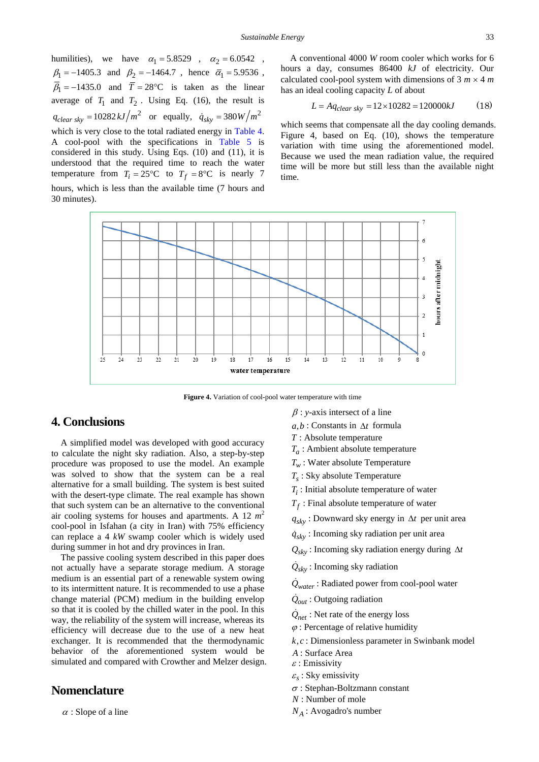humilities), we have  $\alpha_1 = 5.8529$ ,  $\alpha_2 = 6.0542$ ,  $\beta_1 = -1405.3$  and  $\beta_2 = -1464.7$ , hence  $\overline{\alpha}_1 = 5.9536$ ,  $\overline{\beta}_1 = -1435.0$  and  $\overline{T} = 28$ °C is taken as the linear average of  $T_1$  and  $T_2$ . Using Eq. (16), the result is  $q_{clear\,sky} = 10282 \, kJ/m^2$  or equally,  $\dot{q}_{sky} = 380 \, W/m^2$ which is very close to the total radiated energy in [Table 4.](#page-3-2) A cool-pool with the specifications in [Table 5](#page-3-3) is considered in this study. Using Eqs. (10) and (11), it is understood that the required time to reach the water temperature from  $T_i = 25^{\circ}\text{C}$  to  $T_f = 8^{\circ}\text{C}$  is nearly 7 hours, which is less than the available time (7 hours and 30 minutes).

A conventional 4000 *W* room cooler which works for 6 hours a day, consumes 86400 *kJ* of electricity. Our calculated cool-pool system with dimensions of  $3 m \times 4 m$ has an ideal cooling capacity *L* of about

$$
L = Aq_{clear\;sky} = 12 \times 10282 = 120000kJ \tag{18}
$$

which seems that compensate all the day cooling demands. Figure 4, based on Eq. (10), shows the temperature variation with time using the aforementioned model. Because we used the mean radiation value, the required time will be more but still less than the available night time.



**Figure 4.** Variation of cool-pool water temperature with time

## **4. Conclusions**

A simplified model was developed with good accuracy to calculate the night sky radiation. Also, a step-by-step procedure was proposed to use the model. An example was solved to show that the system can be a real alternative for a small building. The system is best suited with the desert-type climate. The real example has shown that such system can be an alternative to the conventional air cooling systems for houses and apartments. A 12  $m^2$ cool-pool in Isfahan (a city in Iran) with 75% efficiency can replace a 4 *kW* swamp cooler which is widely used during summer in hot and dry provinces in Iran.

The passive cooling system described in this paper does not actually have a separate storage medium. A storage medium is an essential part of a renewable system owing to its intermittent nature. It is recommended to use a phase change material (PCM) medium in the building envelop so that it is cooled by the chilled water in the pool. In this way, the reliability of the system will increase, whereas its efficiency will decrease due to the use of a new heat exchanger. It is recommended that the thermodynamic behavior of the aforementioned system would be simulated and compared with Crowther and Melzer design.

### **Nomenclature**

 $\alpha$  : Slope of a line

- β : *y*-axis intersect of a line
- *a b*, : Constants in ∆*t* formula
- *T* : Absolute temperature
- *Ta* : Ambient absolute temperature
- *Tw* : Water absolute Temperature
- *Ts* : Sky absolute Temperature
- *Ti* : Initial absolute temperature of water
- $T_f$ : Final absolute temperature of water
- *sky q* : Downward sky energy in ∆*t* per unit area
- $\dot{q}_{sky}$ : Incoming sky radiation per unit area
- *Qsky* : Incoming sky radiation energy during ∆*t*
- $Q_{sky}$ : Incoming sky radiation

 $\dot{Q}_{water}$ : Radiated power from cool-pool water

- $\dot{Q}_{out}$ : Outgoing radiation
- $\dot{Q}_{net}$ : Net rate of the energy loss
- $\varphi$ : Percentage of relative humidity
- *k c*, : Dimensionless parameter in Swinbank model
- *A* : Surface Area
- $\varepsilon$  : Emissivity
- $\varepsilon_{\rm s}$ : Sky emissivity
- <sup>σ</sup> : Stephan-Boltzmann constant
- *N* : Number of mole
- *NA* : Avogadro's number